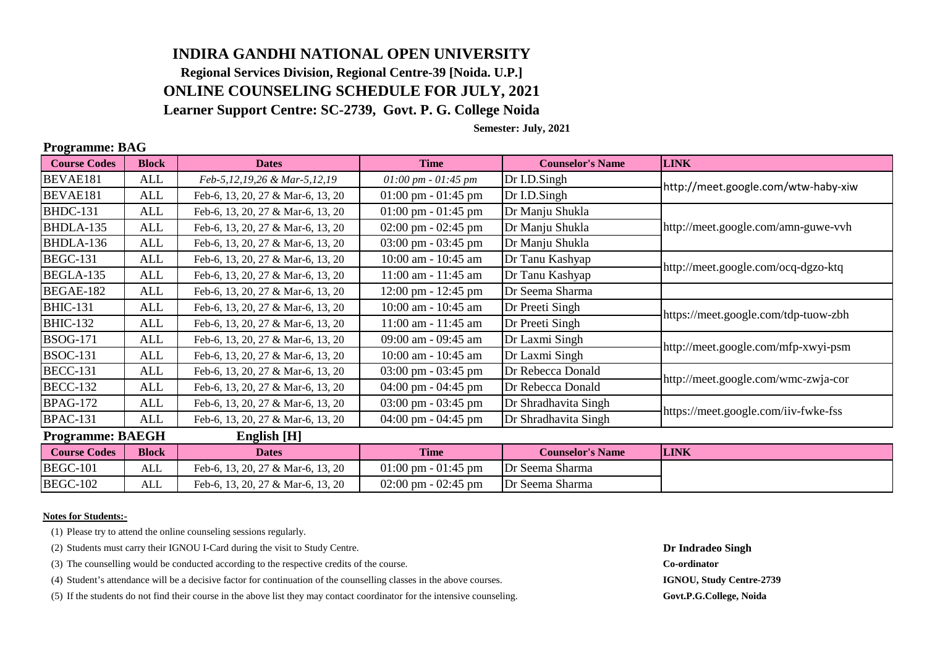# **INDIRA GANDHI NATIONAL OPEN UNIVERSITY Regional Services Division, Regional Centre-39 [Noida. U.P.] ONLINE COUNSELING SCHEDULE FOR JULY, 2021**

**Learner Support Centre: SC-2739, Govt. P. G. College Noida**

### **Semester: July, 2021**

| rogramme, Diro          |              |                                   |                                               |                         |                                      |  |  |  |
|-------------------------|--------------|-----------------------------------|-----------------------------------------------|-------------------------|--------------------------------------|--|--|--|
| <b>Course Codes</b>     | <b>Block</b> | <b>Dates</b>                      | <b>Time</b>                                   | <b>Counselor's Name</b> | <b>LINK</b>                          |  |  |  |
| BEVAE181                | ALL          | Feb-5,12,19,26 & Mar-5,12,19      | $01:00 \, \text{pm} \cdot 01:45 \, \text{pm}$ | Dr I.D.Singh            | http://meet.google.com/wtw-haby-xiw  |  |  |  |
| BEVAE181                | <b>ALL</b>   | Feb-6, 13, 20, 27 & Mar-6, 13, 20 | $01:00$ pm - $01:45$ pm                       | Dr I.D.Singh            |                                      |  |  |  |
| <b>BHDC-131</b>         | ALL          | Feb-6, 13, 20, 27 & Mar-6, 13, 20 | $01:00 \text{ pm} - 01:45 \text{ pm}$         | Dr Manju Shukla         |                                      |  |  |  |
| BHDLA-135               | ALL          | Feb-6, 13, 20, 27 & Mar-6, 13, 20 | $02:00$ pm - $02:45$ pm                       | Dr Manju Shukla         | http://meet.google.com/amn-guwe-vvh  |  |  |  |
| BHDLA-136               | ALL          | Feb-6, 13, 20, 27 & Mar-6, 13, 20 | $03:00 \text{ pm} - 03:45 \text{ pm}$         | Dr Manju Shukla         |                                      |  |  |  |
| <b>BEGC-131</b>         | <b>ALL</b>   | Feb-6, 13, 20, 27 & Mar-6, 13, 20 | 10:00 am - 10:45 am                           | Dr Tanu Kashyap         | http://meet.google.com/ocq-dgzo-ktq  |  |  |  |
| <b>BEGLA-135</b>        | ALL          | Feb-6, 13, 20, 27 & Mar-6, 13, 20 | $11:00$ am - $11:45$ am                       | Dr Tanu Kashyap         |                                      |  |  |  |
| <b>BEGAE-182</b>        | <b>ALL</b>   | Feb-6, 13, 20, 27 & Mar-6, 13, 20 | $12:00 \text{ pm} - 12:45 \text{ pm}$         | Dr Seema Sharma         |                                      |  |  |  |
| <b>BHIC-131</b>         | <b>ALL</b>   | Feb-6, 13, 20, 27 & Mar-6, 13, 20 | 10:00 am - 10:45 am                           | Dr Preeti Singh         | https://meet.google.com/tdp-tuow-zbh |  |  |  |
| <b>BHIC-132</b>         | ALL          | Feb-6, 13, 20, 27 & Mar-6, 13, 20 | $11:00$ am - $11:45$ am                       | Dr Preeti Singh         |                                      |  |  |  |
| <b>BSOG-171</b>         | ALL          | Feb-6, 13, 20, 27 & Mar-6, 13, 20 | 09:00 am - 09:45 am                           | Dr Laxmi Singh          | http://meet.google.com/mfp-xwyi-psm  |  |  |  |
| <b>BSOC-131</b>         | ALL          | Feb-6, 13, 20, 27 & Mar-6, 13, 20 | 10:00 am - 10:45 am                           | Dr Laxmi Singh          |                                      |  |  |  |
| <b>BECC-131</b>         | ALL          | Feb-6, 13, 20, 27 & Mar-6, 13, 20 | $03:00 \text{ pm} - 03:45 \text{ pm}$         | Dr Rebecca Donald       | http://meet.google.com/wmc-zwja-cor  |  |  |  |
| <b>BECC-132</b>         | ALL          | Feb-6, 13, 20, 27 & Mar-6, 13, 20 | $04:00 \text{ pm} - 04:45 \text{ pm}$         | Dr Rebecca Donald       |                                      |  |  |  |
| <b>BPAG-172</b>         | ALL          | Feb-6, 13, 20, 27 & Mar-6, 13, 20 | $03:00 \text{ pm} - 03:45 \text{ pm}$         | Dr Shradhavita Singh    | https://meet.google.com/iiv-fwke-fss |  |  |  |
| <b>BPAC-131</b>         | ALL          | Feb-6, 13, 20, 27 & Mar-6, 13, 20 | 04:00 pm - $04:45$ pm                         | Dr Shradhavita Singh    |                                      |  |  |  |
| <b>Programme: BAEGH</b> |              | English [H]                       |                                               |                         |                                      |  |  |  |
| <b>Course Codes</b>     | <b>Block</b> | <b>Dates</b>                      | <b>Time</b>                                   | <b>Counselor's Name</b> | <b>LINK</b>                          |  |  |  |
| <b>BEGC-101</b>         | ALL          | Feb-6, 13, 20, 27 & Mar-6, 13, 20 | $01:00 \text{ pm} - 01:45 \text{ pm}$         | Dr Seema Sharma         |                                      |  |  |  |
| <b>BEGC-102</b>         | ALL          | Feb-6, 13, 20, 27 & Mar-6, 13, 20 | $02:00 \text{ pm} - 02:45 \text{ pm}$         | Dr Seema Sharma         |                                      |  |  |  |

#### **Notes for Students:-**

**Programme: BAG**

(1) Please try to attend the online counseling sessions regularly.

(2) Students must carry their IGNOU I-Card during the visit to Study Centre. **Dr Indradeo Singh**

(3) The counselling would be conducted according to the respective credits of the course. **Co-ordinator**

(4) Student's attendance will be a decisive factor for continuation of the counselling classes in the above courses. **IGNOU, Study Centre-2739**

(5) If the students do not find their course in the above list they may contact coordinator for the intensive counseling. **Govt.P.G.College, Noida**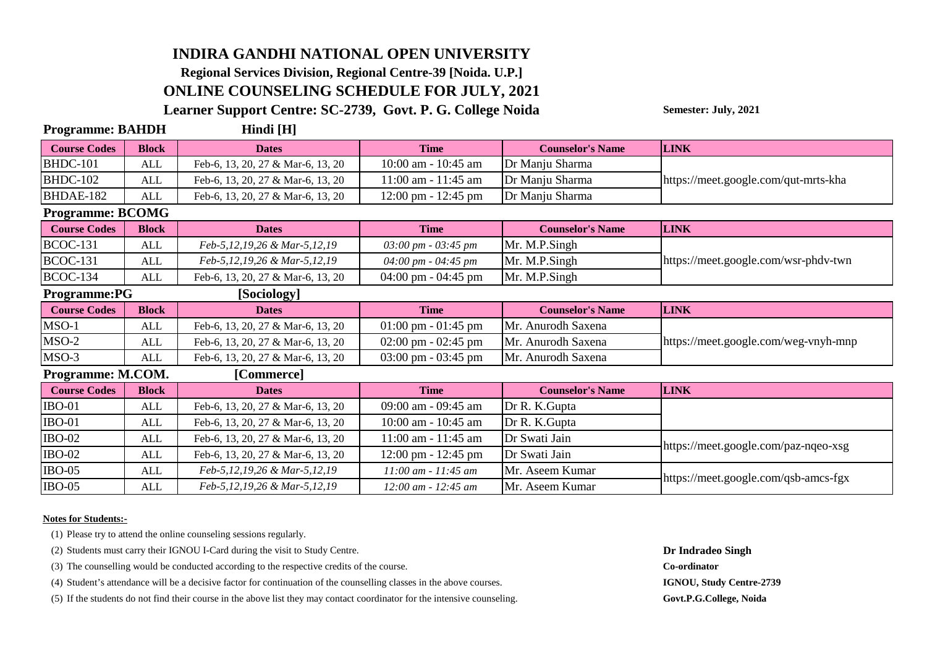## **INDIRA GANDHI NATIONAL OPEN UNIVERSITY Regional Services Division, Regional Centre-39 [Noida. U.P.] ONLINE COUNSELING SCHEDULE FOR JULY, 2021**

**Learner Support Centre: SC-2739, Govt. P. G. College Noida**

**Semester: July, 2021**

| <b>Programme: BAHDH</b> |                                    | Hindi [H]                         |                                             |                         |                                      |  |  |  |
|-------------------------|------------------------------------|-----------------------------------|---------------------------------------------|-------------------------|--------------------------------------|--|--|--|
| <b>Course Codes</b>     | <b>Block</b>                       | <b>Dates</b>                      | <b>Time</b>                                 | <b>Counselor's Name</b> | <b>LINK</b>                          |  |  |  |
| <b>BHDC-101</b>         | <b>ALL</b>                         | Feb-6, 13, 20, 27 & Mar-6, 13, 20 | 10:00 am - 10:45 am                         | Dr Manju Sharma         |                                      |  |  |  |
| <b>BHDC-102</b>         | ALL                                | Feb-6, 13, 20, 27 & Mar-6, 13, 20 | 11:00 am - 11:45 am                         | Dr Manju Sharma         | https://meet.google.com/qut-mrts-kha |  |  |  |
| BHDAE-182               | ALL                                | Feb-6, 13, 20, 27 & Mar-6, 13, 20 | $12:00 \text{ pm} - 12:45 \text{ pm}$       | Dr Manju Sharma         |                                      |  |  |  |
| <b>Programme: BCOMG</b> |                                    |                                   |                                             |                         |                                      |  |  |  |
| <b>Course Codes</b>     | <b>Block</b>                       | <b>Dates</b>                      | <b>Time</b>                                 | <b>Counselor's Name</b> | <b>LINK</b>                          |  |  |  |
| <b>BCOC-131</b>         | <b>ALL</b>                         | Feb-5,12,19,26 & Mar-5,12,19      | $03:00 \, \text{pm}$ - $03:45 \, \text{pm}$ | Mr. M.P.Singh           |                                      |  |  |  |
| <b>BCOC-131</b>         | <b>ALL</b>                         | Feb-5,12,19,26 & Mar-5,12,19      | 04:00 pm - 04:45 pm                         | Mr. M.P.Singh           | https://meet.google.com/wsr-phdv-twn |  |  |  |
| <b>BCOC-134</b>         | <b>ALL</b>                         | Feb-6, 13, 20, 27 & Mar-6, 13, 20 | $04:00 \text{ pm} - 04:45 \text{ pm}$       | Mr. M.P.Singh           |                                      |  |  |  |
|                         | <b>Programme:PG</b><br>[Sociology] |                                   |                                             |                         |                                      |  |  |  |
| <b>Course Codes</b>     | <b>Block</b>                       | <b>Dates</b>                      | <b>Time</b>                                 | <b>Counselor's Name</b> | <b>LINK</b>                          |  |  |  |
| $MSO-1$                 | <b>ALL</b>                         | Feb-6, 13, 20, 27 & Mar-6, 13, 20 | $01:00 \text{ pm} - 01:45 \text{ pm}$       | Mr. Anurodh Saxena      |                                      |  |  |  |
| $MSO-2$                 | <b>ALL</b>                         | Feb-6, 13, 20, 27 & Mar-6, 13, 20 | $02:00 \text{ pm} - 02:45 \text{ pm}$       | Mr. Anurodh Saxena      | https://meet.google.com/weg-vnyh-mnp |  |  |  |
| $MSO-3$                 | ALL                                | Feb-6, 13, 20, 27 & Mar-6, 13, 20 | $03:00 \text{ pm} - 03:45 \text{ pm}$       | Mr. Anurodh Saxena      |                                      |  |  |  |
| Programme: M.COM.       |                                    | [Commerce]                        |                                             |                         |                                      |  |  |  |
| <b>Course Codes</b>     | <b>Block</b>                       | <b>Dates</b>                      | <b>Time</b>                                 | <b>Counselor's Name</b> | <b>LINK</b>                          |  |  |  |
| <b>IBO-01</b>           | ALL                                | Feb-6, 13, 20, 27 & Mar-6, 13, 20 | 09:00 am - 09:45 am                         | Dr R. K. Gupta          |                                      |  |  |  |
| <b>IBO-01</b>           | <b>ALL</b>                         | Feb-6, 13, 20, 27 & Mar-6, 13, 20 | 10:00 am - 10:45 am                         | Dr R. K. Gupta          |                                      |  |  |  |
| <b>IBO-02</b>           | <b>ALL</b>                         | Feb-6, 13, 20, 27 & Mar-6, 13, 20 | 11:00 am - 11:45 am                         | Dr Swati Jain           | https://meet.google.com/paz-nqeo-xsg |  |  |  |
| <b>IBO-02</b>           | <b>ALL</b>                         | Feb-6, 13, 20, 27 & Mar-6, 13, 20 | $12:00 \text{ pm} - 12:45 \text{ pm}$       | Dr Swati Jain           |                                      |  |  |  |
| <b>IBO-05</b>           | ALL                                | Feb-5,12,19,26 & Mar-5,12,19      | $11:00$ am - $11:45$ am                     | Mr. Aseem Kumar         | https://meet.google.com/qsb-amcs-fgx |  |  |  |
| <b>IBO-05</b>           | ALL                                | Feb-5,12,19,26 & Mar-5,12,19      | $12:00$ am - $12:45$ am                     | Mr. Aseem Kumar         |                                      |  |  |  |

#### **Notes for Students:-**

(1) Please try to attend the online counseling sessions regularly.

(2) Students must carry their IGNOU I-Card during the visit to Study Centre. **Dr Indradeo Singh**

(3) The counselling would be conducted according to the respective credits of the course. **Co-ordinator**

(4) Student's attendance will be a decisive factor for continuation of the counselling classes in the above courses. **IGNOU, Study Centre-2739**

(5) If the students do not find their course in the above list they may contact coordinator for the intensive counseling. **Govt.P.G.College, Noida**